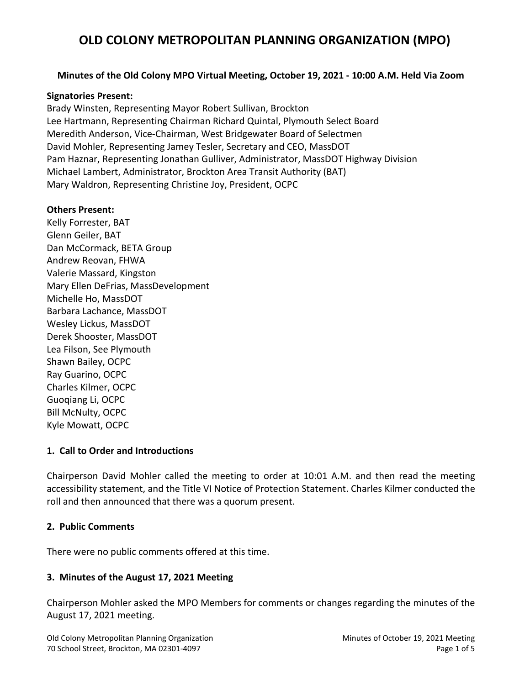### **Minutes of the Old Colony MPO Virtual Meeting, October 19, 2021 - 10:00 A.M. Held Via Zoom**

#### **Signatories Present:**

Brady Winsten, Representing Mayor Robert Sullivan, Brockton Lee Hartmann, Representing Chairman Richard Quintal, Plymouth Select Board Meredith Anderson, Vice-Chairman, West Bridgewater Board of Selectmen David Mohler, Representing Jamey Tesler, Secretary and CEO, MassDOT Pam Haznar, Representing Jonathan Gulliver, Administrator, MassDOT Highway Division Michael Lambert, Administrator, Brockton Area Transit Authority (BAT) Mary Waldron, Representing Christine Joy, President, OCPC

#### **Others Present:**

Kelly Forrester, BAT Glenn Geiler, BAT Dan McCormack, BETA Group Andrew Reovan, FHWA Valerie Massard, Kingston Mary Ellen DeFrias, MassDevelopment Michelle Ho, MassDOT Barbara Lachance, MassDOT Wesley Lickus, MassDOT Derek Shooster, MassDOT Lea Filson, See Plymouth Shawn Bailey, OCPC Ray Guarino, OCPC Charles Kilmer, OCPC Guoqiang Li, OCPC Bill McNulty, OCPC Kyle Mowatt, OCPC

#### **1. Call to Order and Introductions**

Chairperson David Mohler called the meeting to order at 10:01 A.M. and then read the meeting accessibility statement, and the Title VI Notice of Protection Statement. Charles Kilmer conducted the roll and then announced that there was a quorum present.

#### **2. Public Comments**

There were no public comments offered at this time.

## **3. Minutes of the August 17, 2021 Meeting**

Chairperson Mohler asked the MPO Members for comments or changes regarding the minutes of the August 17, 2021 meeting.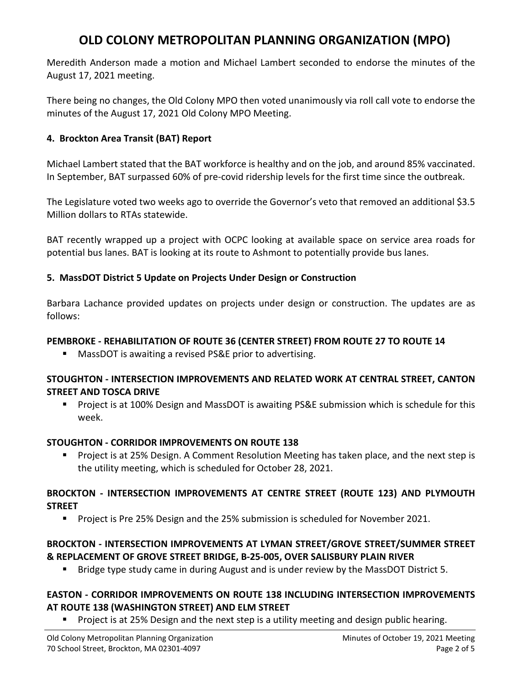Meredith Anderson made a motion and Michael Lambert seconded to endorse the minutes of the August 17, 2021 meeting.

There being no changes, the Old Colony MPO then voted unanimously via roll call vote to endorse the minutes of the August 17, 2021 Old Colony MPO Meeting.

## **4. Brockton Area Transit (BAT) Report**

Michael Lambert stated that the BAT workforce is healthy and on the job, and around 85% vaccinated. In September, BAT surpassed 60% of pre-covid ridership levels for the first time since the outbreak.

The Legislature voted two weeks ago to override the Governor's veto that removed an additional \$3.5 Million dollars to RTAs statewide.

BAT recently wrapped up a project with OCPC looking at available space on service area roads for potential bus lanes. BAT is looking at its route to Ashmont to potentially provide bus lanes.

## **5. MassDOT District 5 Update on Projects Under Design or Construction**

Barbara Lachance provided updates on projects under design or construction. The updates are as follows:

## **PEMBROKE - REHABILITATION OF ROUTE 36 (CENTER STREET) FROM ROUTE 27 TO ROUTE 14**

MassDOT is awaiting a revised PS&E prior to advertising.

## **STOUGHTON - INTERSECTION IMPROVEMENTS AND RELATED WORK AT CENTRAL STREET, CANTON STREET AND TOSCA DRIVE**

**Project is at 100% Design and MassDOT is awaiting PS&E submission which is schedule for this** week.

# **STOUGHTON - CORRIDOR IMPROVEMENTS ON ROUTE 138**

 Project is at 25% Design. A Comment Resolution Meeting has taken place, and the next step is the utility meeting, which is scheduled for October 28, 2021.

## **BROCKTON - INTERSECTION IMPROVEMENTS AT CENTRE STREET (ROUTE 123) AND PLYMOUTH STREET**

**Project is Pre 25% Design and the 25% submission is scheduled for November 2021.** 

## **BROCKTON - INTERSECTION IMPROVEMENTS AT LYMAN STREET/GROVE STREET/SUMMER STREET & REPLACEMENT OF GROVE STREET BRIDGE, B-25-005, OVER SALISBURY PLAIN RIVER**

**Bridge type study came in during August and is under review by the MassDOT District 5.** 

## **EASTON - CORRIDOR IMPROVEMENTS ON ROUTE 138 INCLUDING INTERSECTION IMPROVEMENTS AT ROUTE 138 (WASHINGTON STREET) AND ELM STREET**

Project is at 25% Design and the next step is a utility meeting and design public hearing.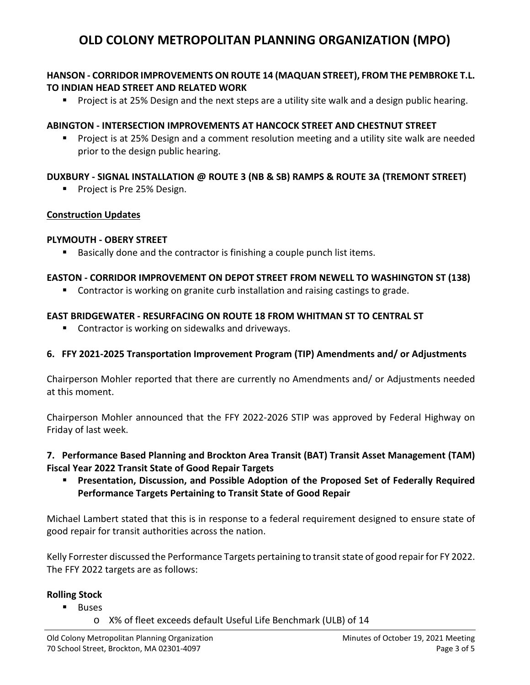## **HANSON - CORRIDOR IMPROVEMENTS ON ROUTE 14 (MAQUAN STREET), FROM THE PEMBROKE T.L. TO INDIAN HEAD STREET AND RELATED WORK**

**Project is at 25% Design and the next steps are a utility site walk and a design public hearing.** 

## **ABINGTON - INTERSECTION IMPROVEMENTS AT HANCOCK STREET AND CHESTNUT STREET**

 Project is at 25% Design and a comment resolution meeting and a utility site walk are needed prior to the design public hearing.

## **DUXBURY - SIGNAL INSTALLATION @ ROUTE 3 (NB & SB) RAMPS & ROUTE 3A (TREMONT STREET)**

**Project is Pre 25% Design.** 

#### **Construction Updates**

#### **PLYMOUTH - OBERY STREET**

■ Basically done and the contractor is finishing a couple punch list items.

#### **EASTON - CORRIDOR IMPROVEMENT ON DEPOT STREET FROM NEWELL TO WASHINGTON ST (138)**

Contractor is working on granite curb installation and raising castings to grade.

#### **EAST BRIDGEWATER - RESURFACING ON ROUTE 18 FROM WHITMAN ST TO CENTRAL ST**

**Contractor is working on sidewalks and driveways.** 

## **6. FFY 2021-2025 Transportation Improvement Program (TIP) Amendments and/ or Adjustments**

Chairperson Mohler reported that there are currently no Amendments and/ or Adjustments needed at this moment.

Chairperson Mohler announced that the FFY 2022-2026 STIP was approved by Federal Highway on Friday of last week.

## **7. Performance Based Planning and Brockton Area Transit (BAT) Transit Asset Management (TAM) Fiscal Year 2022 Transit State of Good Repair Targets**

 **Presentation, Discussion, and Possible Adoption of the Proposed Set of Federally Required Performance Targets Pertaining to Transit State of Good Repair**

Michael Lambert stated that this is in response to a federal requirement designed to ensure state of good repair for transit authorities across the nation.

Kelly Forrester discussed the Performance Targets pertaining to transit state of good repair for FY 2022. The FFY 2022 targets are as follows:

## **Rolling Stock**

- **Buses** 
	- o X% of fleet exceeds default Useful Life Benchmark (ULB) of 14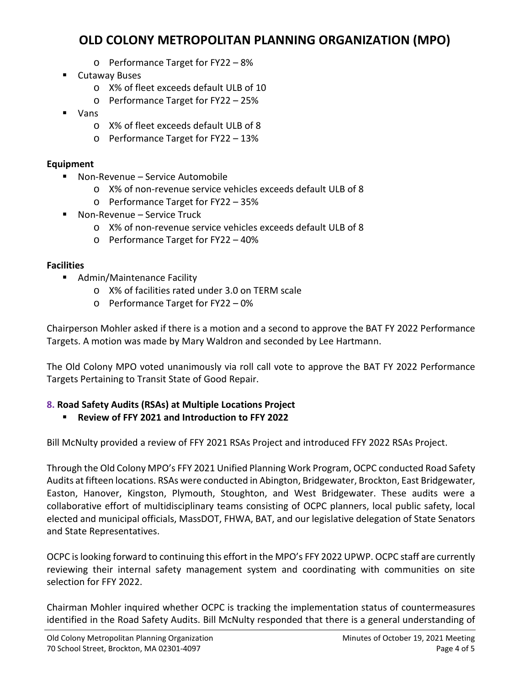- o Performance Target for FY22 8%
- **E** Cutaway Buses
	- o X% of fleet exceeds default ULB of 10
	- o Performance Target for FY22 25%
- Vans
	- o X% of fleet exceeds default ULB of 8
	- o Performance Target for FY22 13%

## **Equipment**

- Non-Revenue Service Automobile
	- o X% of non-revenue service vehicles exceeds default ULB of 8
	- o Performance Target for FY22 35%
- Non-Revenue Service Truck
	- o X% of non-revenue service vehicles exceeds default ULB of 8
	- o Performance Target for FY22 40%

## **Facilities**

- Admin/Maintenance Facility
	- o X% of facilities rated under 3.0 on TERM scale
	- o Performance Target for FY22 0%

Chairperson Mohler asked if there is a motion and a second to approve the BAT FY 2022 Performance Targets. A motion was made by Mary Waldron and seconded by Lee Hartmann.

The Old Colony MPO voted unanimously via roll call vote to approve the BAT FY 2022 Performance Targets Pertaining to Transit State of Good Repair.

# **8. Road Safety Audits (RSAs) at Multiple Locations Project**

**Review of FFY 2021 and Introduction to FFY 2022**

Bill McNulty provided a review of FFY 2021 RSAs Project and introduced FFY 2022 RSAs Project.

Through the Old Colony MPO's FFY 2021 Unified Planning Work Program, OCPC conducted Road Safety Audits at fifteen locations. RSAs were conducted in Abington, Bridgewater, Brockton, East Bridgewater, Easton, Hanover, Kingston, Plymouth, Stoughton, and West Bridgewater. These audits were a collaborative effort of multidisciplinary teams consisting of OCPC planners, local public safety, local elected and municipal officials, MassDOT, FHWA, BAT, and our legislative delegation of State Senators and State Representatives.

OCPC is looking forward to continuing this effort in the MPO's FFY 2022 UPWP. OCPC staff are currently reviewing their internal safety management system and coordinating with communities on site selection for FFY 2022.

Chairman Mohler inquired whether OCPC is tracking the implementation status of countermeasures identified in the Road Safety Audits. Bill McNulty responded that there is a general understanding of